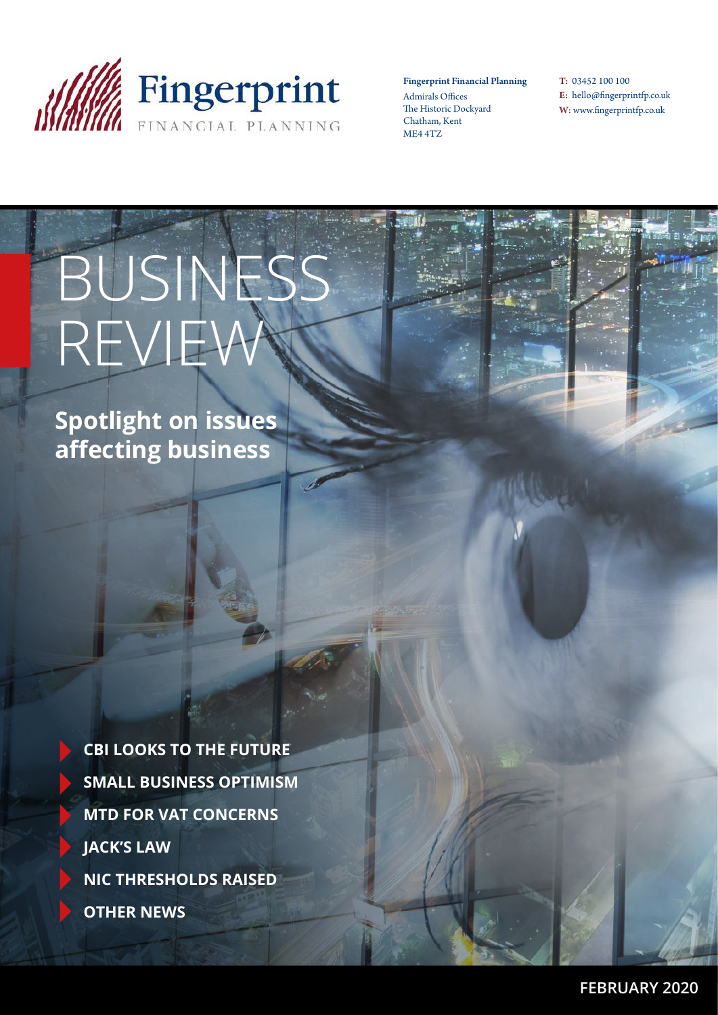

Fingerprint Financial Planning Admirals Offices The Historic Dockyard Chatham, Kent ME4 4TZ

T: 03452 100 100 E: hello@fingerprintfp.co.uk W: www.fingerprintfp.co.uk

# BUSINESS REVIEW

**Spotlight on issues affecting business**

> **CBI LOOKS TO THE FUTURE SMALL BUSINESS OPTIMISM MTD FOR VAT CONCERNS JACK'S LAW NIC THRESHOLDS RAISED OTHER NEWS**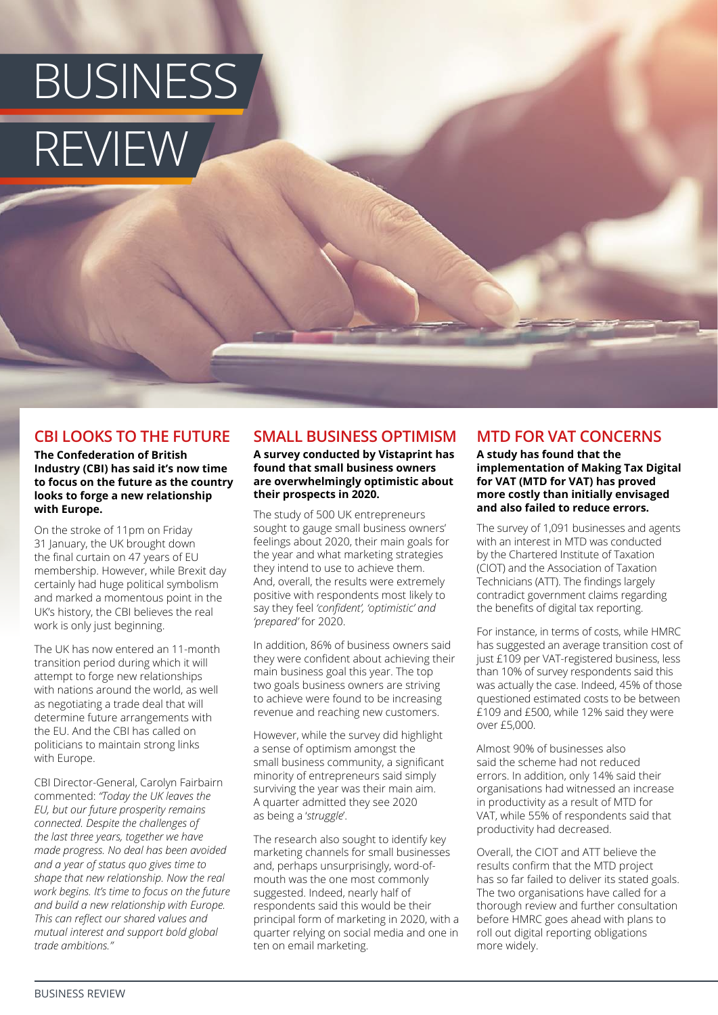## BUSINESS REVIEW

#### **CBI LOOKS TO THE FUTURE**

#### **The Confederation of British Industry (CBI) has said it's now time to focus on the future as the country looks to forge a new relationship with Europe.**

On the stroke of 11pm on Friday 31 January, the UK brought down the final curtain on 47 years of EU membership. However, while Brexit day certainly had huge political symbolism and marked a momentous point in the UK's history, the CBI believes the real work is only just beginning.

The UK has now entered an 11-month transition period during which it will attempt to forge new relationships with nations around the world, as well as negotiating a trade deal that will determine future arrangements with the EU. And the CBI has called on politicians to maintain strong links with Europe.

CBI Director-General, Carolyn Fairbairn commented: *"Today the UK leaves the EU, but our future prosperity remains connected. Despite the challenges of the last three years, together we have made progress. No deal has been avoided and a year of status quo gives time to shape that new relationship. Now the real work begins. It's time to focus on the future and build a new relationship with Europe. This can reflect our shared values and mutual interest and support bold global trade ambitions."*

#### **SMALL BUSINESS OPTIMISM**

#### **A survey conducted by Vistaprint has found that small business owners are overwhelmingly optimistic about their prospects in 2020.**

The study of 500 UK entrepreneurs sought to gauge small business owners' feelings about 2020, their main goals for the year and what marketing strategies they intend to use to achieve them. And, overall, the results were extremely positive with respondents most likely to say they feel *'confident', 'optimistic' and 'prepared'* for 2020.

In addition, 86% of business owners said they were confident about achieving their main business goal this year. The top two goals business owners are striving to achieve were found to be increasing revenue and reaching new customers.

However, while the survey did highlight a sense of optimism amongst the small business community, a significant minority of entrepreneurs said simply surviving the year was their main aim. A quarter admitted they see 2020 as being a '*struggle*'.

The research also sought to identify key marketing channels for small businesses and, perhaps unsurprisingly, word-ofmouth was the one most commonly suggested. Indeed, nearly half of respondents said this would be their principal form of marketing in 2020, with a quarter relying on social media and one in ten on email marketing.

#### **MTD FOR VAT CONCERNS**

**A study has found that the implementation of Making Tax Digital for VAT (MTD for VAT) has proved more costly than initially envisaged and also failed to reduce errors.**

The survey of 1,091 businesses and agents with an interest in MTD was conducted by the Chartered Institute of Taxation (CIOT) and the Association of Taxation Technicians (ATT). The findings largely contradict government claims regarding the benefits of digital tax reporting.

For instance, in terms of costs, while HMRC has suggested an average transition cost of just £109 per VAT-registered business, less than 10% of survey respondents said this was actually the case. Indeed, 45% of those questioned estimated costs to be between £109 and £500, while 12% said they were over £5,000.

Almost 90% of businesses also said the scheme had not reduced errors. In addition, only 14% said their organisations had witnessed an increase in productivity as a result of MTD for VAT, while 55% of respondents said that productivity had decreased.

Overall, the CIOT and ATT believe the results confirm that the MTD project has so far failed to deliver its stated goals. The two organisations have called for a thorough review and further consultation before HMRC goes ahead with plans to roll out digital reporting obligations more widely.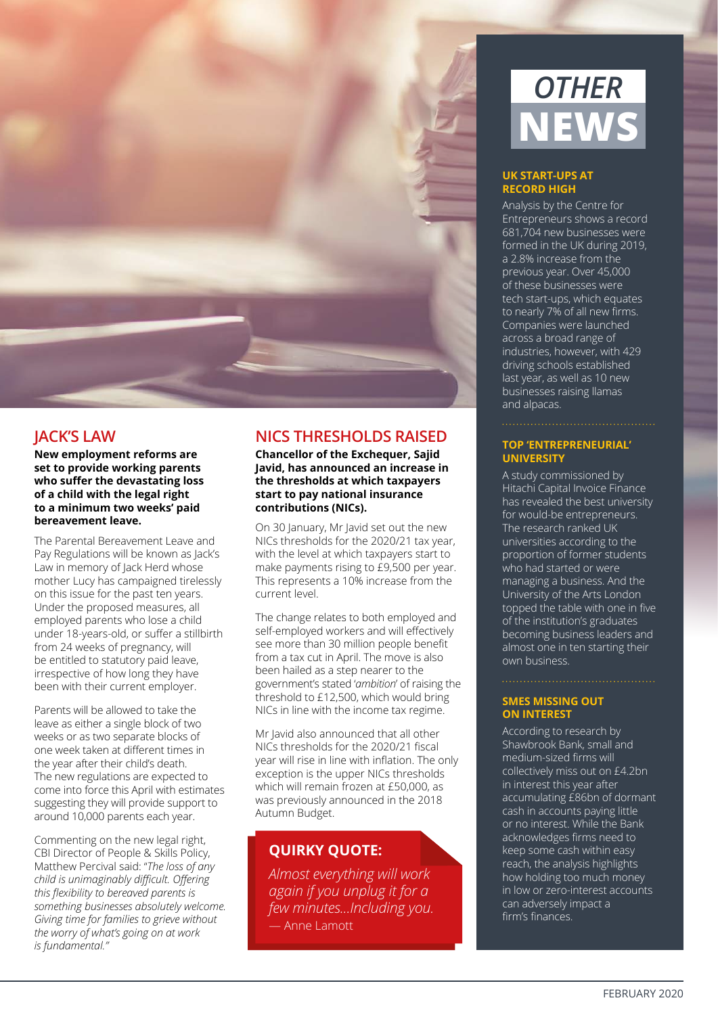

#### **JACK'S LAW**

**New employment reforms are set to provide working parents who suffer the devastating loss of a child with the legal right to a minimum two weeks' paid bereavement leave.** 

The Parental Bereavement Leave and Pay Regulations will be known as Jack's Law in memory of Jack Herd whose mother Lucy has campaigned tirelessly on this issue for the past ten years. Under the proposed measures, all employed parents who lose a child under 18-years-old, or suffer a stillbirth from 24 weeks of pregnancy, will be entitled to statutory paid leave, irrespective of how long they have been with their current employer.

Parents will be allowed to take the leave as either a single block of two weeks or as two separate blocks of one week taken at different times in the year after their child's death. The new regulations are expected to come into force this April with estimates suggesting they will provide support to around 10,000 parents each year.

Commenting on the new legal right, CBI Director of People & Skills Policy, Matthew Percival said: "*The loss of any child is unimaginably difficult. Offering this flexibility to bereaved parents is something businesses absolutely welcome. Giving time for families to grieve without the worry of what's going on at work is fundamental."*

#### **NICS THRESHOLDS RAISED**

**Chancellor of the Exchequer, Sajid Javid, has announced an increase in the thresholds at which taxpayers start to pay national insurance contributions (NICs).** 

On 30 January, Mr Javid set out the new NICs thresholds for the 2020/21 tax year, with the level at which taxpayers start to make payments rising to £9,500 per year. This represents a 10% increase from the current level.

The change relates to both employed and self-employed workers and will effectively see more than 30 million people benefit from a tax cut in April. The move is also been hailed as a step nearer to the government's stated '*ambition*' of raising the threshold to £12,500, which would bring NICs in line with the income tax regime.

Mr Javid also announced that all other NICs thresholds for the 2020/21 fiscal year will rise in line with inflation. The only exception is the upper NICs thresholds which will remain frozen at £50,000, as was previously announced in the 2018 Autumn Budget.

#### **QUIRKY QUOTE:**

*Almost everything will work again if you unplug it for a few minutes...Including you.*  — Anne Lamott



#### **UK START-UPS AT RECORD HIGH**

Analysis by the Centre for Entrepreneurs shows a record 681,704 new businesses were formed in the UK during 2019, a 2.8% increase from the previous year. Over 45,000 of these businesses were tech start-ups, which equates to nearly 7% of all new firms. Companies were launched across a broad range of industries, however, with 429 driving schools established last year, as well as 10 new businesses raising llamas and alpacas.

#### **TOP 'ENTREPRENEURIAL' UNIVERSITY**

A study commissioned by Hitachi Capital Invoice Finance has revealed the best university for would-be entrepreneurs. The research ranked UK universities according to the proportion of former students who had started or were managing a business. And the University of the Arts London topped the table with one in five of the institution's graduates becoming business leaders and almost one in ten starting their own business.

#### **SMES MISSING OUT ON INTEREST**

According to research by Shawbrook Bank, small and medium-sized firms will collectively miss out on £4.2bn in interest this year after accumulating £86bn of dormant cash in accounts paying little or no interest. While the Bank acknowledges firms need to keep some cash within easy reach, the analysis highlights how holding too much money in low or zero-interest accounts can adversely impact a firm's finances.